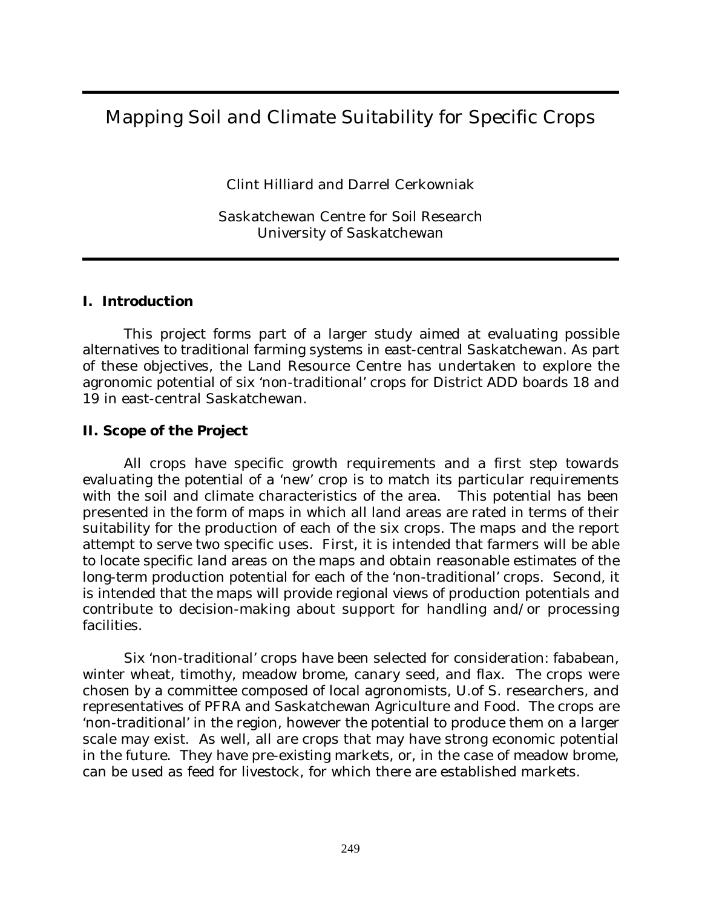# Mapping Soil and Climate Suitability for Specific Crops

Clint Hilliard and Darrel Cerkowniak

Saskatchewan Centre for Soil Research University of Saskatchewan

#### **I. Introduction**

This project forms part of a larger study aimed at evaluating possible alternatives to traditional farming systems in east-central Saskatchewan. As part of these objectives, the Land Resource Centre has undertaken to explore the agronomic potential of six 'non-traditional' crops for District ADD boards 18 and 19 in east-central Saskatchewan.

### **II. Scope of the Project**

All crops have specific growth requirements and a first step towards evaluating the potential of a 'new' crop is to match its particular requirements with the soil and climate characteristics of the area. This potential has been presented in the form of maps in which all land areas are rated in terms of their suitability for the production of each of the six crops. The maps and the report attempt to serve two specific uses. First, it is intended that farmers will be able to locate specific land areas on the maps and obtain reasonable estimates of the long-term production potential for each of the 'non-traditional' crops. Second, it is intended that the maps will provide regional views of production potentials and contribute to decision-making about support for handling and/or processing facilities.

Six 'non-traditional' crops have been selected for consideration: fababean, winter wheat, timothy, meadow brome, canary seed, and flax. The crops were chosen by a committee composed of local agronomists, U.of S. researchers, and representatives of PFRA and Saskatchewan Agriculture and Food. The crops are 'non-traditional' in the region, however the potential to produce them on a larger scale may exist. As well, all are crops that may have strong economic potential in the future. They have pre-existing markets, or, in the case of meadow brome, can be used as feed for livestock, for which there are established markets.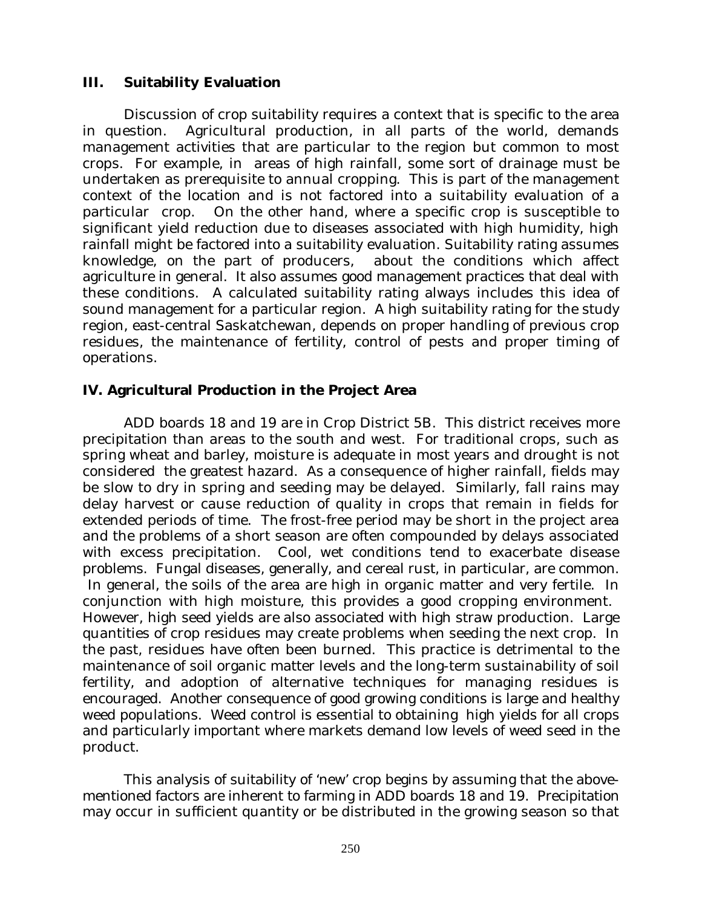#### **III. Suitability Evaluation**

Discussion of crop suitability requires a context that is specific to the area in question. Agricultural production, in all parts of the world, demands management activities that are particular to the region but common to most crops. For example, in areas of high rainfall, some sort of drainage must be undertaken as prerequisite to annual cropping. This is part of the management context of the location and is not factored into a suitability evaluation of a particular crop. On the other hand, where a specific crop is susceptible to significant yield reduction due to diseases associated with high humidity, high rainfall might be factored into a suitability evaluation. Suitability rating assumes knowledge, on the part of producers, about the conditions which affect agriculture in general. It also assumes good management practices that deal with these conditions. A calculated suitability rating always includes this idea of sound management for a particular region. A high suitability rating for the study region, east-central Saskatchewan, depends on proper handling of previous crop residues, the maintenance of fertility, control of pests and proper timing of operations.

### **IV. Agricultural Production in the Project Area**

ADD boards 18 and 19 are in Crop District 5B. This district receives more precipitation than areas to the south and west. For traditional crops, such as spring wheat and barley, moisture is adequate in most years and drought is not considered the greatest hazard. As a consequence of higher rainfall, fields may be slow to dry in spring and seeding may be delayed. Similarly, fall rains may delay harvest or cause reduction of quality in crops that remain in fields for extended periods of time. The frost-free period may be short in the project area and the problems of a short season are often compounded by delays associated with excess precipitation. Cool, wet conditions tend to exacerbate disease problems. Fungal diseases, generally, and cereal rust, in particular, are common. In general, the soils of the area are high in organic matter and very fertile. In conjunction with high moisture, this provides a good cropping environment. However, high seed yields are also associated with high straw production. Large quantities of crop residues may create problems when seeding the next crop. In the past, residues have often been burned. This practice is detrimental to the maintenance of soil organic matter levels and the long-term sustainability of soil fertility, and adoption of alternative techniques for managing residues is encouraged. Another consequence of good growing conditions is large and healthy weed populations. Weed control is essential to obtaining high yields for all crops and particularly important where markets demand low levels of weed seed in the product.

This analysis of suitability of 'new' crop begins by assuming that the abovementioned factors are inherent to farming in ADD boards 18 and 19. Precipitation may occur in sufficient quantity or be distributed in the growing season so that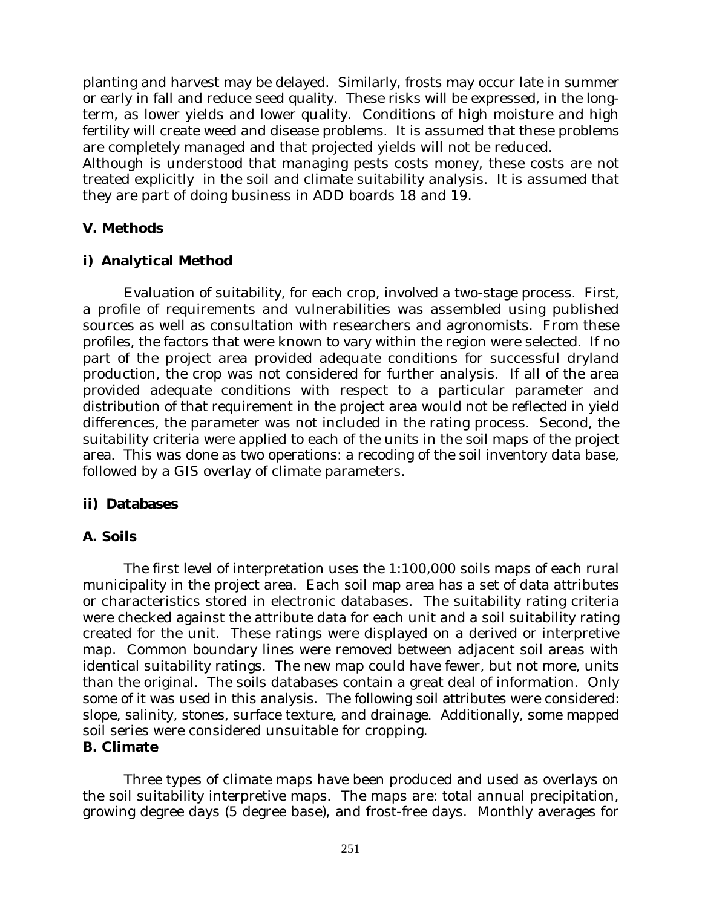planting and harvest may be delayed. Similarly, frosts may occur late in summer or early in fall and reduce seed quality. These risks will be expressed, in the longterm, as lower yields and lower quality. Conditions of high moisture and high fertility will create weed and disease problems. It is assumed that these problems are completely managed and that projected yields will not be reduced.

Although is understood that managing pests costs money, these costs are not treated explicitly in the soil and climate suitability analysis. It is assumed that they are part of doing business in ADD boards 18 and 19.

# **V. Methods**

# **i) Analytical Method**

Evaluation of suitability, for each crop, involved a two-stage process. First, a profile of requirements and vulnerabilities was assembled using published sources as well as consultation with researchers and agronomists. From these profiles, the factors that were known to vary within the region were selected. If no part of the project area provided adequate conditions for successful dryland production, the crop was not considered for further analysis. If all of the area provided adequate conditions with respect to a particular parameter and distribution of that requirement in the project area would not be reflected in yield differences, the parameter was not included in the rating process. Second, the suitability criteria were applied to each of the units in the soil maps of the project area. This was done as two operations: a recoding of the soil inventory data base, followed by a GIS overlay of climate parameters.

## **ii) Databases**

## **A. Soils**

The first level of interpretation uses the 1:100,000 soils maps of each rural municipality in the project area. Each soil map area has a set of data attributes or characteristics stored in electronic databases. The suitability rating criteria were checked against the attribute data for each unit and a soil suitability rating created for the unit. These ratings were displayed on a derived or interpretive map. Common boundary lines were removed between adjacent soil areas with identical suitability ratings. The new map could have fewer, but not more, units than the original. The soils databases contain a great deal of information. Only some of it was used in this analysis. The following soil attributes were considered: slope, salinity, stones, surface texture, and drainage. Additionally, some mapped soil series were considered unsuitable for cropping.

#### **B. Climate**

Three types of climate maps have been produced and used as overlays on the soil suitability interpretive maps. The maps are: total annual precipitation, growing degree days (5 degree base), and frost-free days. Monthly averages for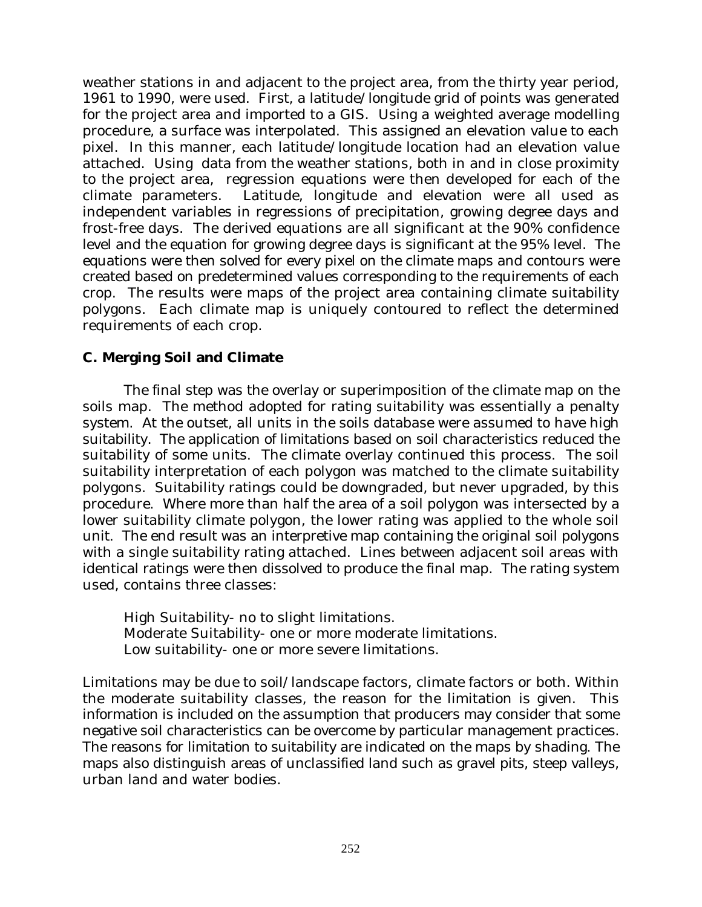weather stations in and adjacent to the project area, from the thirty year period, 1961 to 1990, were used. First, a latitude/longitude grid of points was generated for the project area and imported to a GIS. Using a weighted average modelling procedure, a surface was interpolated. This assigned an elevation value to each pixel. In this manner, each latitude/longitude location had an elevation value attached. Using data from the weather stations, both in and in close proximity to the project area, regression equations were then developed for each of the climate parameters. Latitude, longitude and elevation were all used as independent variables in regressions of precipitation, growing degree days and frost-free days. The derived equations are all significant at the 90% confidence level and the equation for growing degree days is significant at the 95% level. The equations were then solved for every pixel on the climate maps and contours were created based on predetermined values corresponding to the requirements of each crop. The results were maps of the project area containing climate suitability polygons. Each climate map is uniquely contoured to reflect the determined requirements of each crop.

# **C. Merging Soil and Climate**

The final step was the overlay or superimposition of the climate map on the soils map. The method adopted for rating suitability was essentially a penalty system. At the outset, all units in the soils database were assumed to have high suitability. The application of limitations based on soil characteristics reduced the suitability of some units. The climate overlay continued this process. The soil suitability interpretation of each polygon was matched to the climate suitability polygons. Suitability ratings could be downgraded, but never upgraded, by this procedure. Where more than half the area of a soil polygon was intersected by a lower suitability climate polygon, the lower rating was applied to the whole soil unit. The end result was an interpretive map containing the original soil polygons with a single suitability rating attached. Lines between adjacent soil areas with identical ratings were then dissolved to produce the final map. The rating system used, contains three classes:

High Suitability- no to slight limitations. Moderate Suitability- one or more moderate limitations. Low suitability- one or more severe limitations.

Limitations may be due to soil/landscape factors, climate factors or both. Within the moderate suitability classes, the reason for the limitation is given. This information is included on the assumption that producers may consider that some negative soil characteristics can be overcome by particular management practices. The reasons for limitation to suitability are indicated on the maps by shading. The maps also distinguish areas of unclassified land such as gravel pits, steep valleys, urban land and water bodies.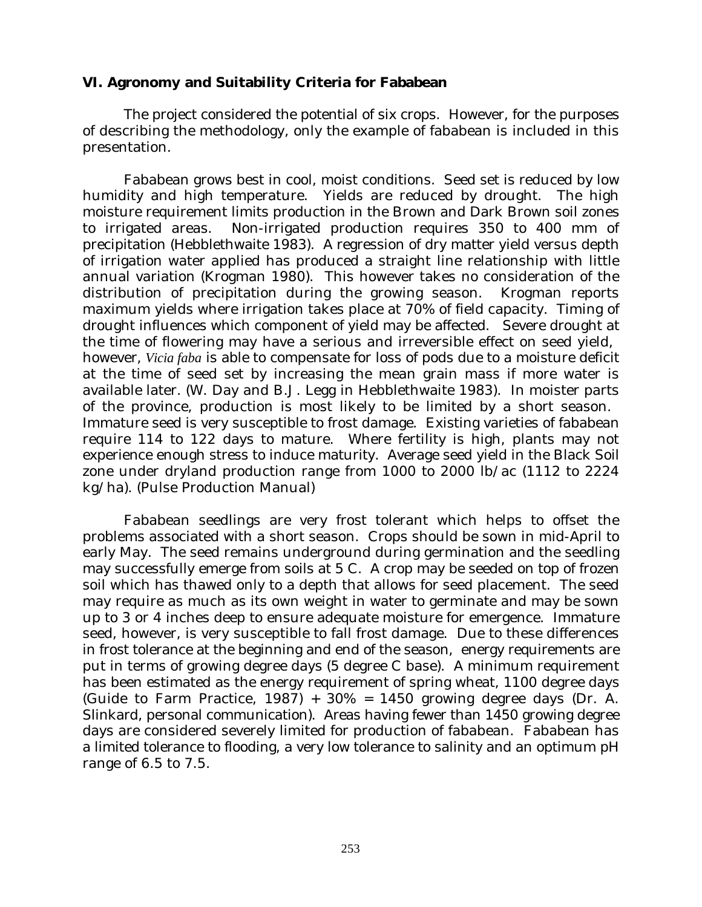#### **VI. Agronomy and Suitability Criteria for Fababean**

The project considered the potential of six crops. However, for the purposes of describing the methodology, only the example of fababean is included in this presentation.

Fababean grows best in cool, moist conditions. Seed set is reduced by low humidity and high temperature. Yields are reduced by drought. The high moisture requirement limits production in the Brown and Dark Brown soil zones to irrigated areas. Non-irrigated production requires 350 to 400 mm of precipitation (Hebblethwaite 1983). A regression of dry matter yield versus depth of irrigation water applied has produced a straight line relationship with little annual variation (Krogman 1980). This however takes no consideration of the distribution of precipitation during the growing season. Krogman reports maximum yields where irrigation takes place at 70% of field capacity. Timing of drought influences which component of yield may be affected. Severe drought at the time of flowering may have a serious and irreversible effect on seed yield, however, *Vicia faba* is able to compensate for loss of pods due to a moisture deficit at the time of seed set by increasing the mean grain mass if more water is available later. (W. Day and B.J. Legg in Hebblethwaite 1983). In moister parts of the province, production is most likely to be limited by a short season. Immature seed is very susceptible to frost damage. Existing varieties of fababean require 114 to 122 days to mature. Where fertility is high, plants may not experience enough stress to induce maturity. Average seed yield in the Black Soil zone under dryland production range from 1000 to 2000 lb/ac (1112 to 2224 kg/ha). (Pulse Production Manual)

Fababean seedlings are very frost tolerant which helps to offset the problems associated with a short season. Crops should be sown in mid-April to early May. The seed remains underground during germination and the seedling may successfully emerge from soils at 5 C. A crop may be seeded on top of frozen soil which has thawed only to a depth that allows for seed placement. The seed may require as much as its own weight in water to germinate and may be sown up to 3 or 4 inches deep to ensure adequate moisture for emergence. Immature seed, however, is very susceptible to fall frost damage. Due to these differences in frost tolerance at the beginning and end of the season, energy requirements are put in terms of growing degree days (5 degree C base). A minimum requirement has been estimated as the energy requirement of spring wheat, 1100 degree days (Guide to Farm Practice,  $1987$ ) +  $30\%$  =  $1450$  growing degree days (Dr. A. Slinkard, personal communication). Areas having fewer than 1450 growing degree days are considered severely limited for production of fababean. Fababean has a limited tolerance to flooding, a very low tolerance to salinity and an optimum pH range of 6.5 to 7.5.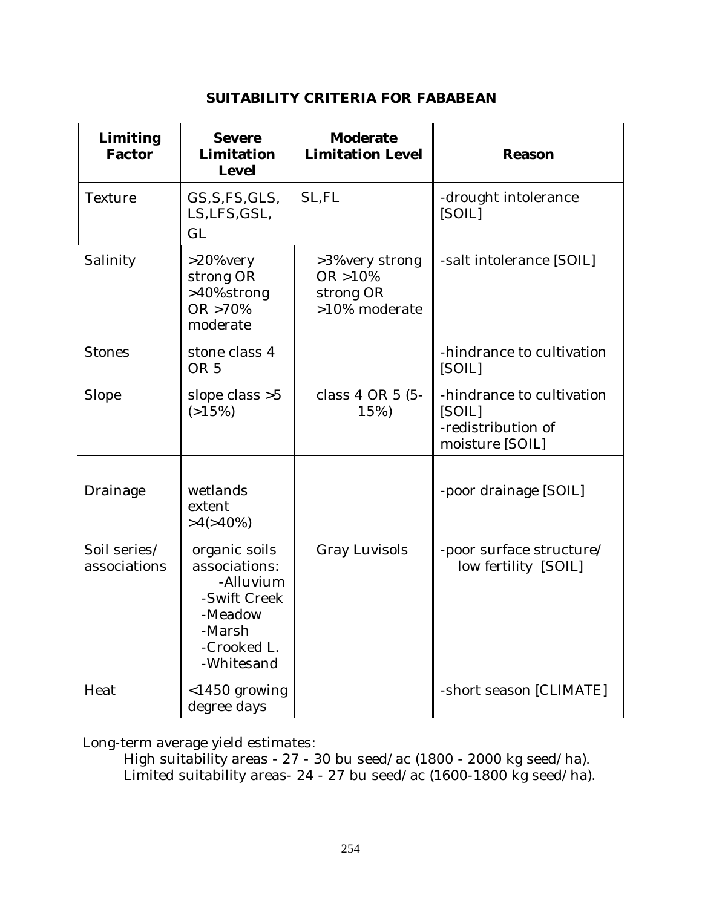#### **SUITABILITY CRITERIA FOR FABABEAN**

| Limiting<br><b>Factor</b>    | <b>Severe</b><br>Limitation<br><b>Level</b>                                                                   | <b>Moderate</b><br><b>Limitation Level</b>                  | <b>Reason</b>                                                                |
|------------------------------|---------------------------------------------------------------------------------------------------------------|-------------------------------------------------------------|------------------------------------------------------------------------------|
| Texture                      | GS, S, FS, GLS,<br>LS, LFS, GSL,<br>GL                                                                        | SL, FL                                                      | -drought intolerance<br>[SOIL]                                               |
| Salinity                     | >20%very<br>strong OR<br>>40%strong<br>OR >70%<br>moderate                                                    | >3%very strong<br>$OR > 10\%$<br>strong OR<br>>10% moderate | -salt intolerance [SOIL]                                                     |
| <b>Stones</b>                | stone class 4<br>OR <sub>5</sub>                                                                              |                                                             | -hindrance to cultivation<br>[SOIL]                                          |
| Slope                        | slope class $>5$<br>(>15%)                                                                                    | class 4 OR 5 (5-<br>15%)                                    | -hindrance to cultivation<br>[SOIL]<br>-redistribution of<br>moisture [SOIL] |
| Drainage                     | wetlands<br>extent<br>$>4(>40\%)$                                                                             |                                                             | -poor drainage [SOIL]                                                        |
| Soil series/<br>associations | organic soils<br>associations:<br>-Alluvium<br>-Swift Creek<br>-Meadow<br>-Marsh<br>-Crooked L.<br>-Whitesand | <b>Gray Luvisols</b>                                        | -poor surface structure/<br>low fertility [SOIL]                             |
| Heat                         | $<$ 1450 growing<br>degree days                                                                               |                                                             | -short season [CLIMATE]                                                      |

Long-term average yield estimates:

High suitability areas - 27 - 30 bu seed/ac (1800 - 2000 kg seed/ha). Limited suitability areas- 24 - 27 bu seed/ac (1600-1800 kg seed/ha).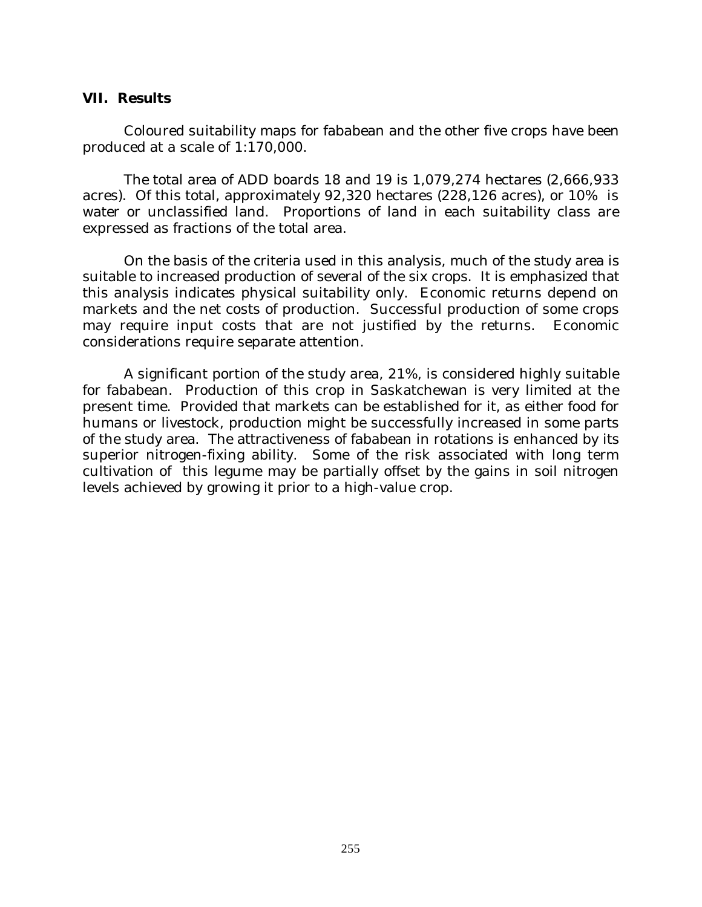#### **VII. Results**

Coloured suitability maps for fababean and the other five crops have been produced at a scale of 1:170,000.

The total area of ADD boards 18 and 19 is 1,079,274 hectares (2,666,933 acres). Of this total, approximately 92,320 hectares (228,126 acres), or 10% is water or unclassified land. Proportions of land in each suitability class are expressed as fractions of the total area.

On the basis of the criteria used in this analysis, much of the study area is suitable to increased production of several of the six crops. It is emphasized that this analysis indicates physical suitability only. Economic returns depend on markets and the net costs of production. Successful production of some crops may require input costs that are not justified by the returns. Economic considerations require separate attention.

A significant portion of the study area, 21%, is considered highly suitable for fababean. Production of this crop in Saskatchewan is very limited at the present time. Provided that markets can be established for it, as either food for humans or livestock, production might be successfully increased in some parts of the study area. The attractiveness of fababean in rotations is enhanced by its superior nitrogen-fixing ability. Some of the risk associated with long term cultivation of this legume may be partially offset by the gains in soil nitrogen levels achieved by growing it prior to a high-value crop.